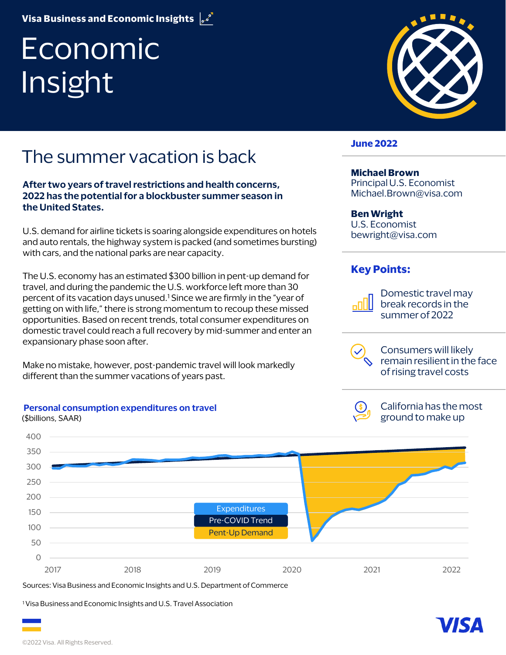**Visa Business and Economic Insights**

# Economic Insight

### The summer vacation is back

**After two years of travel restrictions and health concerns, 2022 has the potential for a blockbuster summer season in the United States.** 

U.S. demand for airline tickets is soaring alongside expenditures on hotels and auto rentals, the highway system is packed (and sometimes bursting) with cars, and the national parks are near capacity.

The U.S. economy has an estimated \$300 billion in pent-up demand for travel, and during the pandemic the U.S. workforce left more than 30 percent of its vacation days unused.1 Since we are firmly in the "year of getting on with life," there is strong momentum to recoup these missed opportunities. Based on recent trends, total consumer expenditures on domestic travel could reach a full recovery by mid-summer and enter an expansionary phase soon after.

Make no mistake, however, post-pandemic travel will look markedly different than the summer vacations of years past.



Sources: Visa Business and Economic Insights and U.S. Department of Commerce

<sup>1</sup> Visa Business and Economic Insights and U.S. Travel Association

**Personal consumption expenditures on travel**



### **June 2022**

### **Michael Brown**

Principal U.S. Economist Michael.Brown@visa.com

#### **Ben Wright**

U.S. Economist bewright@visa.com

### **Key Points:**



Domestic travel may break records in the summer of 2022

Consumers will likely remain resilient in the face of rising travel costs

California has the most ground to make up

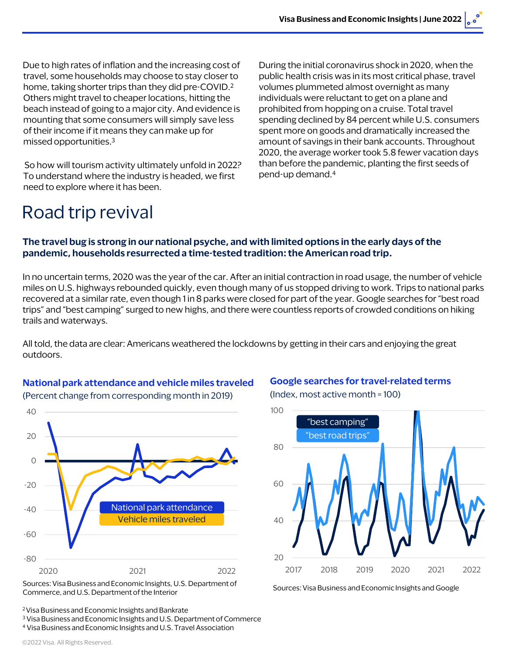Due to high rates of inflation and the increasing cost of travel, some households may choose to stay closer to home, taking shorter trips than they did pre-COVID.2 Others might travel to cheaper locations, hitting the beach instead of going to a major city. And evidence is mounting that some consumers will simply save less of their income if it means they can make up for missed opportunities.3

So how will tourism activity ultimately unfold in 2022? To understand where the industry is headed, we first need to explore where it has been.

During the initial coronavirus shock in 2020, when the public health crisis was in its most critical phase, travel volumes plummeted almost overnight as many individuals were reluctant to get on a plane and prohibited from hopping on a cruise. Total travel spending declined by 84 percent while U.S. consumers spent more on goods and dramatically increased the amount of savings in their bank accounts. Throughout 2020, the average worker took 5.8 fewer vacation days than before the pandemic, planting the first seeds of pend-up demand.4

### Road trip revival

### **The travel bug is strong in our national psyche, and with limited options in the early days of the pandemic, households resurrected a time-tested tradition: the American road trip.**

In no uncertain terms, 2020 was the year of the car. After an initial contraction in road usage, the number of vehicle miles on U.S. highways rebounded quickly, even though many of us stopped driving to work. Trips to national parks recovered at a similar rate, even though 1 in 8 parks were closed for part of the year. Google searches for "best road trips" and "best camping" surged to new highs, and there were countless reports of crowded conditions on hiking trails and waterways.

All told, the data are clear: Americans weathered the lockdowns by getting in their cars and enjoying the great outdoors.

### **National park attendance and vehicle miles traveled**

(Percent change from corresponding month in 2019)

-80 -60 -40 -20 0 20  $40$ 2020 2021 2022 National park attendance Vehicle miles traveled

Sources: Visa Business and Economic Insights, U.S. Department of Commerce, and U.S. Department of the Interior

**Google searches for travel-related terms**

(Index, most active month = 100)



Sources: Visa Business and Economic Insights and Google

2 Visa Business and Economic Insights and Bankrate

<sup>3</sup> Visa Business and Economic Insights and U.S. Department of Commerce <sup>4</sup> Visa Business and Economic Insights and U.S. Travel Association

©2022 Visa. All Rights Reserved.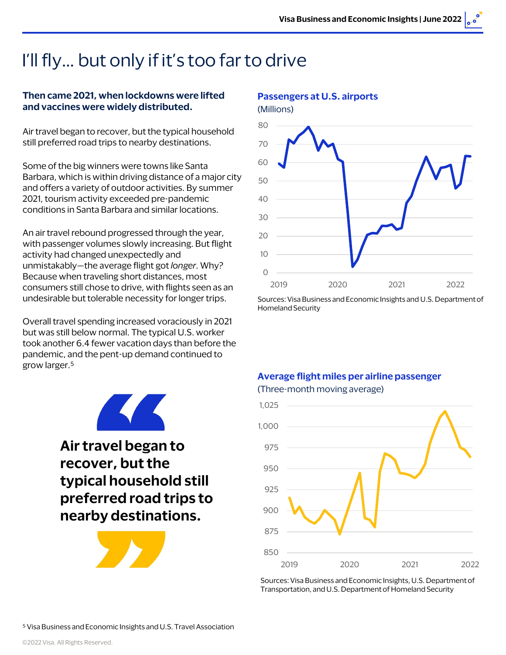# I'll fly… but only if it's too far to drive

### **Then came 2021, when lockdowns were lifted and vaccines were widely distributed.**

Air travel began to recover, but the typical household still preferred road trips to nearby destinations.

Some of the big winners were towns like Santa Barbara, which is within driving distance of a major city and offers a variety of outdoor activities. By summer 2021, tourism activity exceeded pre-pandemic conditions in Santa Barbara and similar locations.

An air travel rebound progressed through the year, with passenger volumes slowly increasing. But flight activity had changed unexpectedly and unmistakably—the average flight got *longer*. Why? Because when traveling short distances, most consumers still chose to drive, with flights seen as an undesirable but tolerable necessity for longer trips.

Overall travel spending increased voraciously in 2021 but was still below normal. The typical U.S. worker took another 6.4 fewer vacation days than before the pandemic, and the pent-up demand continued to grow larger.5



**Air travel began to recover, but the typical household still preferred road trips to nearby destinations.**





#### **Passengers at U.S. airports**

Sources: Visa Business and Economic Insights and U.S. Department of Homeland Security

### **Average flight miles per airline passenger** (Three-month moving average)



Sources: Visa Business and Economic Insights, U.S. Department of Transportation, and U.S. Department of Homeland Security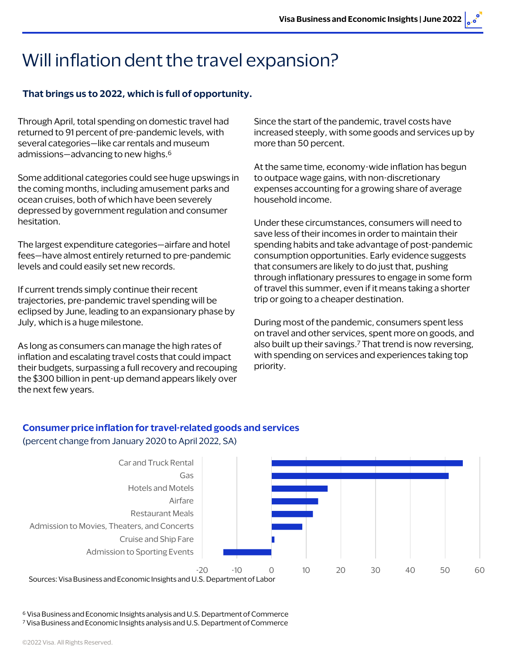### Will inflation dent the travel expansion?

### **That brings us to 2022, which is full of opportunity.**

Through April, total spending on domestic travel had returned to 91 percent of pre-pandemic levels, with several categories—like car rentals and museum admissions—advancing to new highs.6

Some additional categories could see huge upswings in the coming months, including amusement parks and ocean cruises, both of which have been severely depressed by government regulation and consumer hesitation.

The largest expenditure categories—airfare and hotel fees—have almost entirely returned to pre-pandemic levels and could easily set new records.

If current trends simply continue their recent trajectories, pre-pandemic travel spending will be eclipsed by June, leading to an expansionary phase by July, which is a huge milestone.

As long as consumers can manage the high rates of inflation and escalating travel costs that could impact their budgets, surpassing a full recovery and recouping the \$300 billion in pent-up demand appears likely over the next few years.

Since the start of the pandemic, travel costs have increased steeply, with some goods and services up by more than 50 percent.

At the same time, economy-wide inflation has begun to outpace wage gains, with non-discretionary expenses accounting for a growing share of average household income.

Under these circumstances, consumers will need to save less of their incomes in order to maintain their spending habits and take advantage of post-pandemic consumption opportunities. Early evidence suggests that consumers are likely to do just that, pushing through inflationary pressures to engage in some form of travel this summer, even if it means taking a shorter trip or going to a cheaper destination.

During most of the pandemic, consumers spent less on travel and other services, spent more on goods, and also built up their savings.7 That trend is now reversing, with spending on services and experiences taking top priority.

### **Consumer price inflation for travel-related goods and services** (percent change from January 2020 to April 2022, SA)



Sources: Visa Business and Economic Insights and U.S. Department of Labor

<sup>6</sup> Visa Business and Economic Insights analysis and U.S. Department of Commerce <sup>7</sup> Visa Business and Economic Insights analysis and U.S. Department of Commerce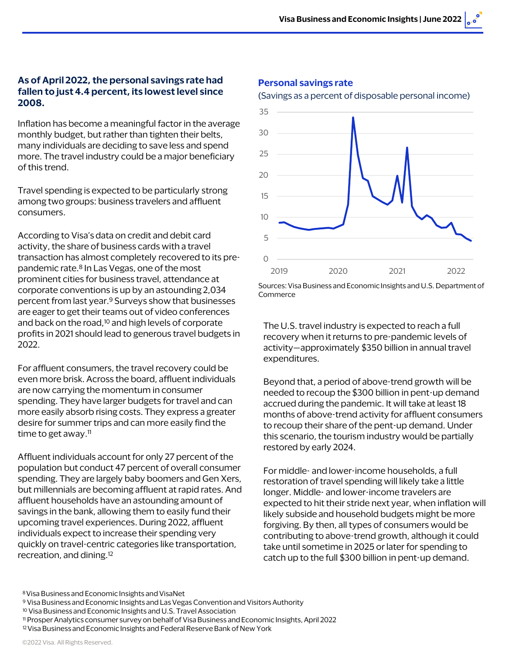### **As of April 2022, the personal savings rate had fallen to just 4.4 percent, its lowest level since 2008.**

Inflation has become a meaningful factor in the average monthly budget, but rather than tighten their belts, many individuals are deciding to save less and spend more. The travel industry could be a major beneficiary of this trend.

Travel spending is expected to be particularly strong among two groups: business travelers and affluent consumers.

According to Visa's data on credit and debit card activity, the share of business cards with a travel transaction has almost completely recovered to its prepandemic rate.8 In Las Vegas, one of the most prominent cities for business travel, attendance at corporate conventions is up by an astounding 2,034 percent from last year.9 Surveys show that businesses are eager to get their teams out of video conferences and back on the road,<sup>10</sup> and high levels of corporate profits in 2021 should lead to generous travel budgets in 2022.

For affluent consumers, the travel recovery could be even more brisk. Across the board, affluent individuals are now carrying the momentum in consumer spending. They have larger budgets for travel and can more easily absorb rising costs. They express a greater desire for summer trips and can more easily find the time to get away.<sup>11</sup>

Affluent individuals account for only 27 percent of the population but conduct 47 percent of overall consumer spending. They are largely baby boomers and Gen Xers, but millennials are becoming affluent at rapid rates. And affluent households have an astounding amount of savings in the bank, allowing them to easily fund their upcoming travel experiences. During 2022, affluent individuals expect to increase their spending very quickly on travel-centric categories like transportation, recreation, and dining.12

#### **Personal savings rate**

#### (Savings as a percent of disposable personal income)



Sources: Visa Business and Economic Insights and U.S. Department of Commerce

The U.S. travel industry is expected to reach a full recovery when it returns to pre-pandemic levels of activity—approximately \$350 billion in annual travel expenditures.

Beyond that, a period of above-trend growth will be needed to recoup the \$300 billion in pent-up demand accrued during the pandemic. It will take at least 18 months of above-trend activity for affluent consumers to recoup their share of the pent-up demand. Under this scenario, the tourism industry would be partially restored by early 2024.

For middle- and lower-income households, a full restoration of travel spending will likely take a little longer. Middle- and lower-income travelers are expected to hit their stride next year, when inflation will likely subside and household budgets might be more forgiving. By then, all types of consumers would be contributing to above-trend growth, although it could take until sometime in 2025 or later for spending to catch up to the full \$300 billion in pent-up demand.

<sup>8</sup> Visa Business and Economic Insights and VisaNet

<sup>9</sup> Visa Business and Economic Insights and Las Vegas Convention and Visitors Authority

<sup>10</sup> Visa Business and Economic Insights and U.S. Travel Association

<sup>11</sup> Prosper Analytics consumer survey on behalf of Visa Business and Economic Insights, April 2022

<sup>&</sup>lt;sup>12</sup> Visa Business and Economic Insights and Federal Reserve Bank of New York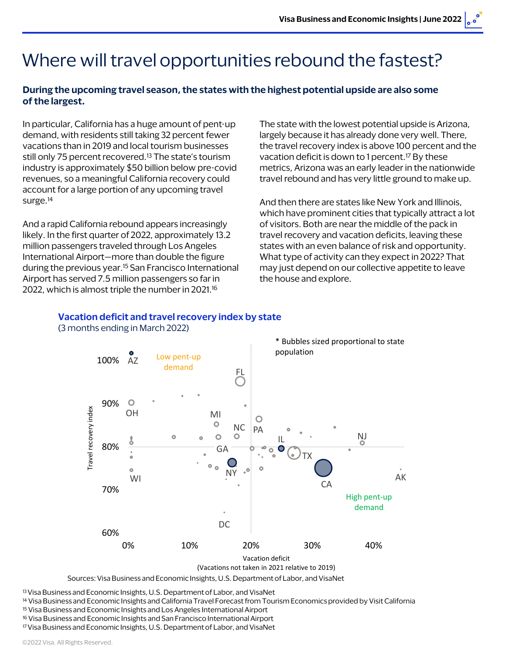# Where will travel opportunities rebound the fastest?

### **During the upcoming travel season, the states with the highest potential upside are also some of the largest.**

In particular, California has a huge amount of pent-up demand, with residents still taking 32 percent fewer vacations than in 2019 and local tourism businesses still only 75 percent recovered.<sup>13</sup> The state's tourism industry is approximately \$50 billion below pre-covid revenues, so a meaningful California recovery could account for a large portion of any upcoming travel surge.<sup>14</sup>

And a rapid California rebound appears increasingly likely. In the first quarter of 2022, approximately 13.2 million passengers traveled through Los Angeles International Airport—more than double the figure during the previous year.15 San Francisco International Airport has served 7.5 million passengers so far in 2022, which is almost triple the number in 2021.<sup>16</sup>

The state with the lowest potential upside is Arizona, largely because it has already done very well. There, the travel recovery index is above 100 percent and the vacation deficit is down to 1 percent.<sup>17</sup> By these metrics, Arizona was an early leader in the nationwide travel rebound and has very little ground to make up.

And then there are states like New York and Illinois, which have prominent cities that typically attract a lot of visitors. Both are near the middle of the pack in travel recovery and vacation deficits, leaving these states with an even balance of risk and opportunity. What type of activity can they expect in 2022? That may just depend on our collective appetite to leave the house and explore.

#### **Vacation deficit and travel recovery index by state** (3 months ending in March 2022)



Sources: Visa Business and Economic Insights, U.S. Department of Labor, and VisaNet

13 Visa Business and Economic Insights, U.S. Department of Labor, and VisaNet

<sup>14</sup> Visa Business and Economic Insights and California Travel Forecast from Tourism Economics provided by Visit California

<sup>15</sup> Visa Business and Economic Insights and Los Angeles International Airport

<sup>16</sup> Visa Business and Economic Insights and San Francisco International Airport

17 Visa Business and Economic Insights, U.S. Department of Labor, and VisaNet